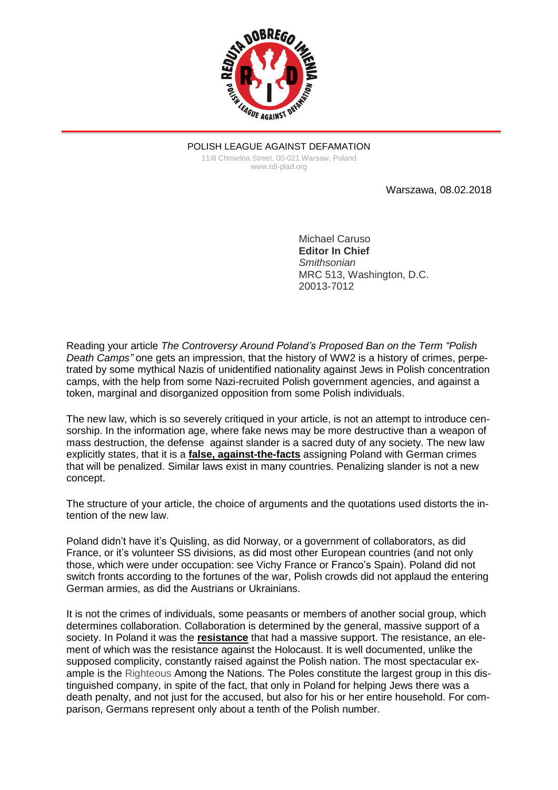

POLISH LEAGUE AGAINST DEFAMATION 11/8 Chmielna Street, 00-021 Warsaw, Poland www.rdi-plad.org

Warszawa, 08.02.2018

Michael Caruso **Editor In Chief** *Smithsonian* MRC 513, Washington, D.C. 20013-7012

Reading your article *The Controversy Around Poland's Proposed Ban on the Term "Polish Death Camps"* one gets an impression, that the history of WW2 is a history of crimes, perpetrated by some mythical Nazis of unidentified nationality against Jews in Polish concentration camps, with the help from some Nazi-recruited Polish government agencies, and against a token, marginal and disorganized opposition from some Polish individuals.

The new law, which is so severely critiqued in your article, is not an attempt to introduce censorship. In the information age, where fake news may be more destructive than a weapon of mass destruction, the defense against slander is a sacred duty of any society. The new law explicitly states, that it is a **false, against-the-facts** assigning Poland with German crimes that will be penalized. Similar laws exist in many countries. Penalizing slander is not a new concept.

The structure of your article, the choice of arguments and the quotations used distorts the intention of the new law.

Poland didn't have it's Quisling, as did Norway, or a government of collaborators, as did France, or it's volunteer SS divisions, as did most other European countries (and not only those, which were under occupation: see Vichy France or Franco's Spain). Poland did not switch fronts according to the fortunes of the war, Polish crowds did not applaud the entering German armies, as did the Austrians or Ukrainians.

It is not the crimes of individuals, some peasants or members of another social group, which determines collaboration. Collaboration is determined by the general, massive support of a society. In Poland it was the **resistance** that had a massive support. The resistance, an element of which was the resistance against the Holocaust. It is well documented, unlike the supposed complicity, constantly raised against the Polish nation. The most spectacular example is the Righteous Among the Nations. The Poles constitute the largest group in this distinguished company, in spite of the fact, that only in Poland for helping Jews there was a death penalty, and not just for the accused, but also for his or her entire household. For comparison, Germans represent only about a tenth of the Polish number.